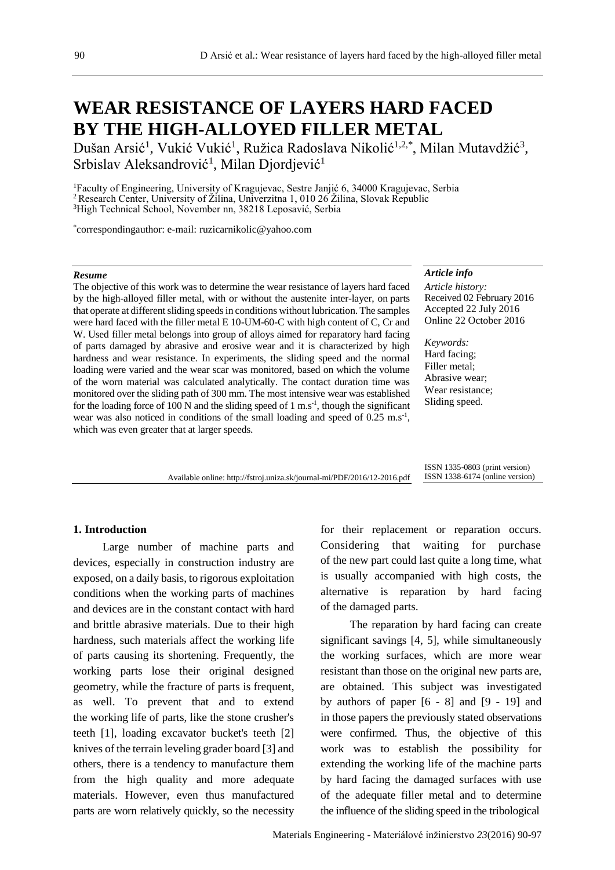# **WEAR RESISTANCE OF LAYERS HARD FACED BY THE HIGH-ALLOYED FILLER METAL**

Dušan Arsić<sup>1</sup>, Vukić Vukić<sup>1</sup>, Ružica Radoslava Nikolić<sup>1,2,\*</sup>, Milan Mutavdžić<sup>3</sup>, Srbislav Aleksandrović<sup>1</sup>, Milan Djordjević<sup>1</sup>

<sup>1</sup>Faculty of Engineering, University of Kragujevac, Sestre Janjić 6, 34000 Kragujevac, Serbia <sup>2</sup> Research Center, University of Žilina, Univerzitna 1, 010 26 Žilina, Slovak Republic <sup>3</sup>High Technical School, November nn, 38218 Leposavić, Serbia

\* correspondingauthor: e-mail: ruzicarnikolic@yahoo.com

#### *Resume*

The objective of this work was to determine the wear resistance of layers hard faced by the high-alloyed filler metal, with or without the austenite inter-layer, on parts that operate at different sliding speeds in conditions without lubrication. The samples were hard faced with the filler metal E 10-UM-60-C with high content of C, Cr and W. Used filler metal belongs into group of alloys aimed for reparatory hard facing of parts damaged by abrasive and erosive wear and it is characterized by high hardness and wear resistance. In experiments, the sliding speed and the normal loading were varied and the wear scar was monitored, based on which the volume of the worn material was calculated analytically. The contact duration time was monitored over the sliding path of 300 mm. The most intensive wear was established for the loading force of 100 N and the sliding speed of 1 m.s<sup>-1</sup>, though the significant wear was also noticed in conditions of the small loading and speed of  $0.25 \text{ m.s}^{-1}$ , which was even greater that at larger speeds.

### *Article info*

*Article history:* Received 02 February 2016 Accepted 22 July 2016 Online 22 October 2016

*Keywords:* Hard facing; Filler metal; Abrasive wear; Wear resistance; Sliding speed.

Available online: http://fstroj.uniza.sk/journal-mi/PDF/2016/12-2016.pdf

ISSN 1335-0803 (print version) ISSN 1338-6174 (online version)

# **1. Introduction**

Large number of machine parts and devices, especially in construction industry are exposed, on a daily basis, to rigorous exploitation conditions when the working parts of machines and devices are in the constant contact with hard and brittle abrasive materials. Due to their high hardness, such materials affect the working life of parts causing its shortening. Frequently, the working parts lose their original designed geometry, while the fracture of parts is frequent, as well. To prevent that and to extend the working life of parts, like the stone crusher's teeth [1], loading excavator bucket's teeth [2] knives of the terrain leveling grader board [3] and others, there is a tendency to manufacture them from the high quality and more adequate materials. However, even thus manufactured parts are worn relatively quickly, so the necessity for their replacement or reparation occurs. Considering that waiting for purchase of the new part could last quite a long time, what is usually accompanied with high costs, the alternative is reparation by hard facing of the damaged parts.

The reparation by hard facing can create significant savings [4, 5], while simultaneously the working surfaces, which are more wear resistant than those on the original new parts are, are obtained. This subject was investigated by authors of paper [6 - 8] and [9 - 19] and in those papers the previously stated observations were confirmed. Thus, the objective of this work was to establish the possibility for extending the working life of the machine parts by hard facing the damaged surfaces with use of the adequate filler metal and to determine the influence of the sliding speed in the tribological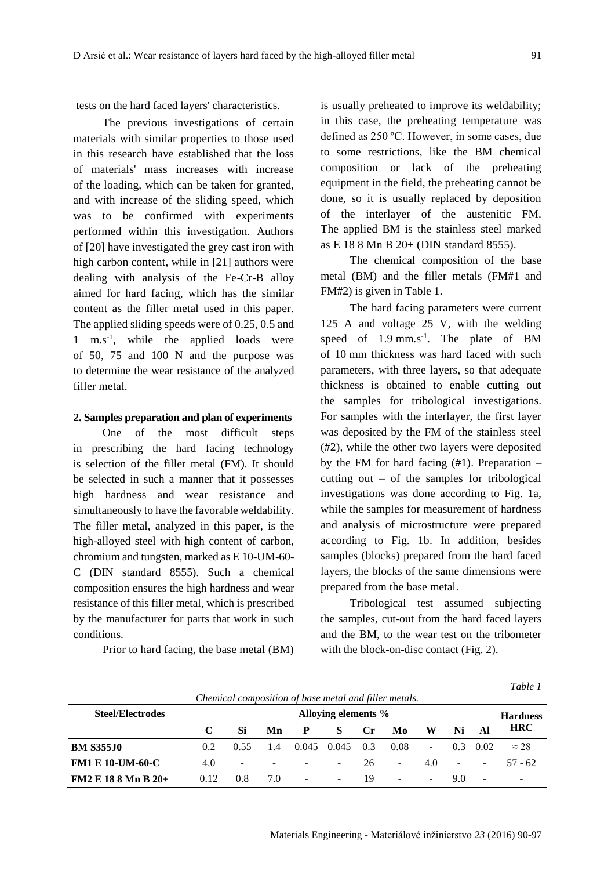tests on the hard faced layers' characteristics.

The previous investigations of certain materials with similar properties to those used in this research have established that the loss of materials' mass increases with increase of the loading, which can be taken for granted, and with increase of the sliding speed, which was to be confirmed with experiments performed within this investigation. Authors of [20] have investigated the grey cast iron with high carbon content, while in [21] authors were dealing with analysis of the Fe-Cr-B alloy aimed for hard facing, which has the similar content as the filler metal used in this paper. The applied sliding speeds were of 0.25, 0.5 and 1 m.s<sup>-1</sup>, while the applied loads were of 50, 75 and 100 N and the purpose was to determine the wear resistance of the analyzed filler metal.

# **2. Samples preparation and plan of experiments**

One of the most difficult steps in prescribing the hard facing technology is selection of the filler metal (FM). It should be selected in such a manner that it possesses high hardness and wear resistance and simultaneously to have the favorable weldability. The filler metal, analyzed in this paper, is the high-alloyed steel with high content of carbon, chromium and tungsten, marked as E 10-UM-60- C (DIN standard 8555). Such a chemical composition ensures the high hardness and wear resistance of this filler metal, which is prescribed by the manufacturer for parts that work in such conditions.

Prior to hard facing, the base metal (BM)

is usually preheated to improve its weldability; in this case, the preheating temperature was defined as 250 ºC. However, in some cases, due to some restrictions, like the BM chemical composition or lack of the preheating equipment in the field, the preheating cannot be done, so it is usually replaced by deposition of the interlayer of the austenitic FM. The applied BM is the stainless steel marked as E 18 8 Mn B 20+ (DIN standard 8555).

The chemical composition of the base metal (BM) and the filler metals (FM#1 and FM#2) is given in Table 1.

The hard facing parameters were current 125 A and voltage 25 V, with the welding speed of  $1.9$  mm.s<sup>-1</sup>. The plate of BM of 10 mm thickness was hard faced with such parameters, with three layers, so that adequate thickness is obtained to enable cutting out the samples for tribological investigations. For samples with the interlayer, the first layer was deposited by the FM of the stainless steel (#2), while the other two layers were deposited by the FM for hard facing  $(#1)$ . Preparation – cutting out – of the samples for tribological investigations was done according to Fig. 1a, while the samples for measurement of hardness and analysis of microstructure were prepared according to Fig. 1b. In addition, besides samples (blocks) prepared from the hard faced layers, the blocks of the same dimensions were prepared from the base metal.

Tribological test assumed subjecting the samples, cut-out from the hard faced layers and the BM, to the wear test on the tribometer with the block-on-disc contact (Fig. 2).

| `able |  |
|-------|--|
|-------|--|

| Chemical composition of base metal and filler metals. |                                        |                |                          |        |        |              |                          |                |                |                  |              |
|-------------------------------------------------------|----------------------------------------|----------------|--------------------------|--------|--------|--------------|--------------------------|----------------|----------------|------------------|--------------|
| <b>Steel/Electrodes</b>                               | Alloying elements %<br><b>Hardness</b> |                |                          |        |        |              |                          |                |                |                  |              |
|                                                       |                                        | Si             | Mn                       | P      | S      | $C_{\Gamma}$ | Mo                       | W              | Ni             | Al               | <b>HRC</b>   |
| <b>BM S355J0</b>                                      | 0.2                                    | 0.55           | 1.4                      | 0.045  | 0.045  | 0.3          | 0.08                     |                |                | $0.3 \quad 0.02$ | $\approx$ 28 |
| <b>FM1 E 10-UM-60-C</b>                               | 4.0                                    | $\blacksquare$ | $\overline{\phantom{0}}$ | $\sim$ | $\sim$ | 26.          | $\sim$                   | 4.0            | $\blacksquare$ | $\sim$           | 57 - 62      |
| $FM2 E 18 8 Mn B 20+$                                 | 0.12                                   | $0.8^{\circ}$  | 7.0                      | $\sim$ | $\sim$ | 19           | $\overline{\phantom{0}}$ | $\sim$ 10 $\,$ | 90             | $\sim$           | -            |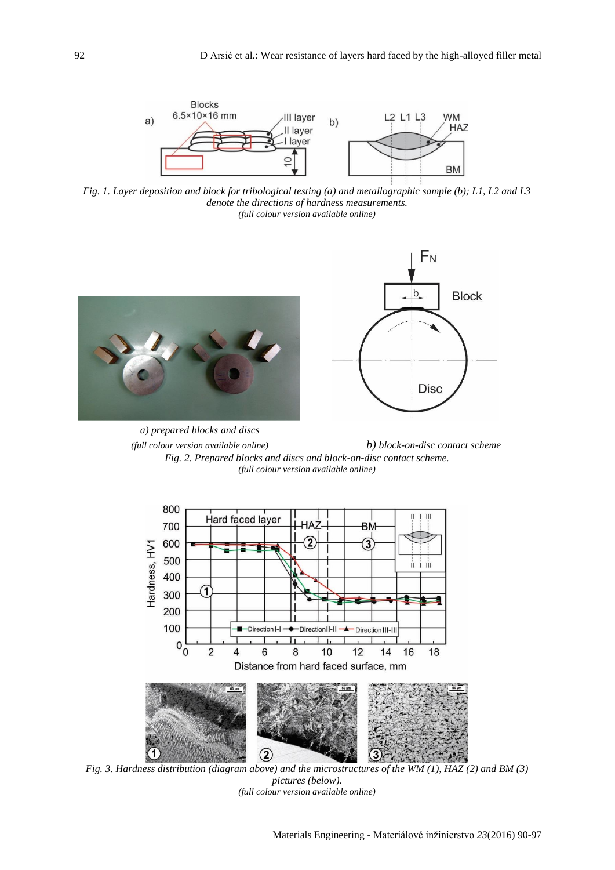

*Fig. 1. Layer deposition and block for tribological testing (a) and metallographic sample (b); L1, L2 and L3 denote the directions of hardness measurements. (full colour version available online)*



*(full colour version available online) b) block-on-disc contact scheme Fig. 2. Prepared blocks and discs and block-on-disc contact scheme. (full colour version available online)*



*Fig. 3. Hardness distribution (diagram above) and the microstructures of the WM (1), HAZ (2) and BM (3) pictures (below). (full colour version available online)*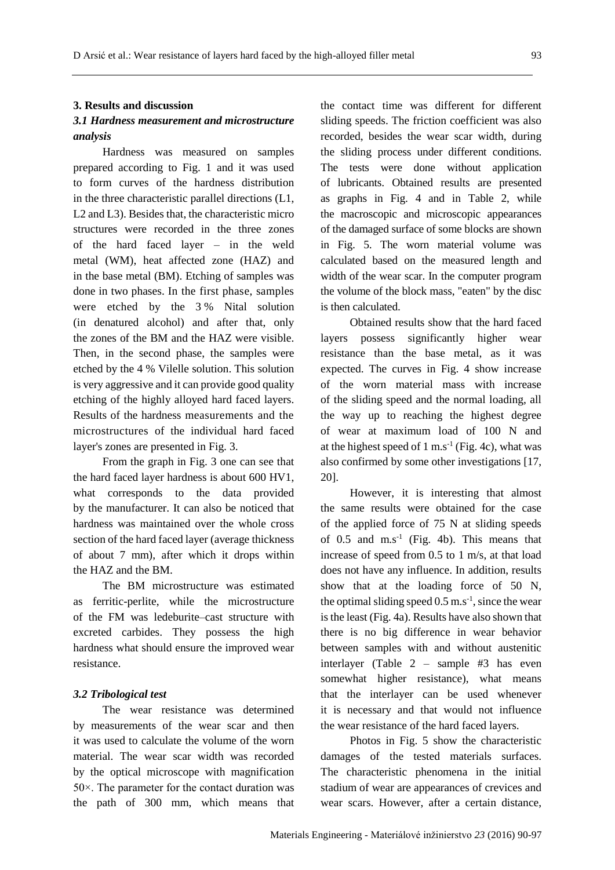# **3. Results and discussion**

# *3.1 Hardness measurement and microstructure analysis*

Hardness was measured on samples prepared according to Fig. 1 and it was used to form curves of the hardness distribution in the three characteristic parallel directions (L1, L2 and L3). Besides that, the characteristic micro structures were recorded in the three zones of the hard faced layer – in the weld metal (WM), heat affected zone (HAZ) and in the base metal (BM). Etching of samples was done in two phases. In the first phase, samples were etched by the 3 % Nital solution (in denatured alcohol) and after that, only the zones of the BM and the HAZ were visible. Then, in the second phase, the samples were etched by the 4 % Vilelle solution. This solution is very aggressive and it can provide good quality etching of the highly alloyed hard faced layers. Results of the hardness measurements and the microstructures of the individual hard faced layer's zones are presented in Fig. 3.

From the graph in Fig. 3 one can see that the hard faced layer hardness is about 600 HV1, what corresponds to the data provided by the manufacturer. It can also be noticed that hardness was maintained over the whole cross section of the hard faced layer (average thickness of about 7 mm), after which it drops within the HAZ and the BM.

The BM microstructure was estimated as ferritic-perlite, while the microstructure of the FM was ledeburite–cast structure with excreted carbides. They possess the high hardness what should ensure the improved wear resistance.

### *3.2 Tribological test*

The wear resistance was determined by measurements of the wear scar and then it was used to calculate the volume of the worn material. The wear scar width was recorded by the optical microscope with magnification 50×. The parameter for the contact duration was the path of 300 mm, which means that

the contact time was different for different sliding speeds. The friction coefficient was also recorded, besides the wear scar width, during the sliding process under different conditions. The tests were done without application of lubricants. Obtained results are presented as graphs in Fig. 4 and in Table 2, while the macroscopic and microscopic appearances of the damaged surface of some blocks are shown in Fig. 5. The worn material volume was calculated based on the measured length and width of the wear scar. In the computer program the volume of the block mass, "eaten" by the disc is then calculated.

Obtained results show that the hard faced layers possess significantly higher wear resistance than the base metal, as it was expected. The curves in Fig. 4 show increase of the worn material mass with increase of the sliding speed and the normal loading, all the way up to reaching the highest degree of wear at maximum load of 100 N and at the highest speed of  $1 \text{ m.s}^{-1}$  (Fig. 4c), what was also confirmed by some other investigations [17, 20].

However, it is interesting that almost the same results were obtained for the case of the applied force of 75 N at sliding speeds of  $0.5$  and  $m.s^{-1}$  (Fig. 4b). This means that increase of speed from 0.5 to 1 m/s, at that load does not have any influence. In addition, results show that at the loading force of 50 N, the optimal sliding speed  $0.5$  m.s<sup>-1</sup>, since the wear is the least (Fig. 4a). Results have also shown that there is no big difference in wear behavior between samples with and without austenitic interlayer (Table 2 – sample #3 has even somewhat higher resistance), what means that the interlayer can be used whenever it is necessary and that would not influence the wear resistance of the hard faced layers.

Photos in Fig. 5 show the characteristic damages of the tested materials surfaces. The characteristic phenomena in the initial stadium of wear are appearances of crevices and wear scars. However, after a certain distance,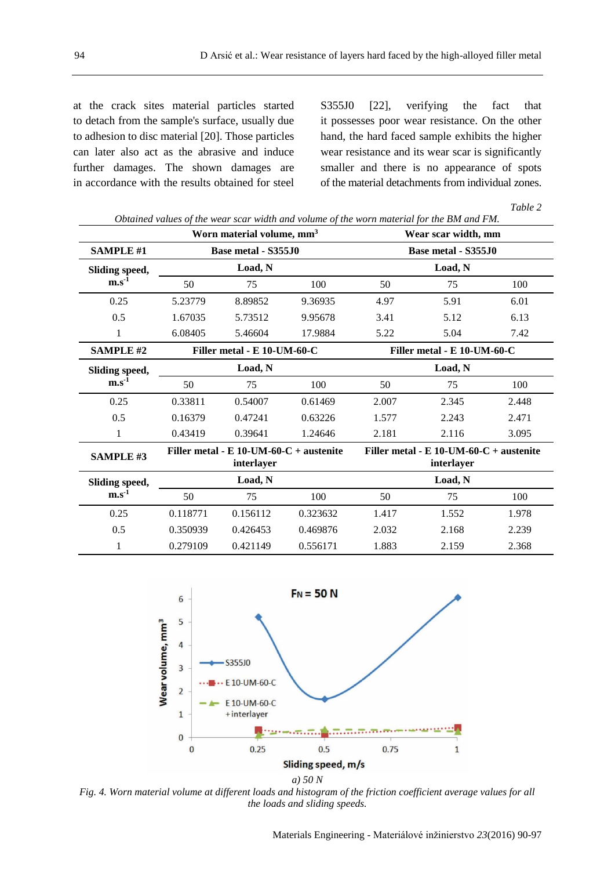at the crack sites material particles started to detach from the sample's surface, usually due to adhesion to disc material [20]. Those particles can later also act as the abrasive and induce further damages. The shown damages are in accordance with the results obtained for steel S355J0 [22], verifying the fact that it possesses poor wear resistance. On the other hand, the hard faced sample exhibits the higher wear resistance and its wear scar is significantly smaller and there is no appearance of spots of the material detachments from individual zones.

*Table 2*

|                                    |          |                                                          | Obtained values of the wear scar width and volume of the worn material for the BM and FM. |                                                         |       |       |  |  |  |
|------------------------------------|----------|----------------------------------------------------------|-------------------------------------------------------------------------------------------|---------------------------------------------------------|-------|-------|--|--|--|
|                                    |          | Worn material volume, mm <sup>3</sup>                    | Wear scar width, mm                                                                       |                                                         |       |       |  |  |  |
| <b>SAMPLE #1</b>                   |          | Base metal - S355J0                                      |                                                                                           | Base metal - S355J0                                     |       |       |  |  |  |
| Sliding speed,                     |          | Load, N                                                  |                                                                                           | Load, N                                                 |       |       |  |  |  |
| $m.s-1$                            | 50       | 75                                                       | 100                                                                                       | 50                                                      | 75    | 100   |  |  |  |
| 0.25                               | 5.23779  | 8.89852                                                  | 9.36935                                                                                   | 4.97                                                    | 5.91  | 6.01  |  |  |  |
| 0.5                                | 1.67035  | 5.73512                                                  | 9.95678                                                                                   | 3.41                                                    | 5.12  | 6.13  |  |  |  |
| 1                                  | 6.08405  | 5.46604                                                  | 17.9884                                                                                   | 5.22                                                    | 5.04  | 7.42  |  |  |  |
| <b>SAMPLE #2</b>                   |          | Filler metal - E 10-UM-60-C                              |                                                                                           | Filler metal - E 10-UM-60-C                             |       |       |  |  |  |
| Sliding speed,<br>m.s <sup>1</sup> |          | Load, N                                                  |                                                                                           | Load, N                                                 |       |       |  |  |  |
|                                    | 50       | 75                                                       | 100                                                                                       | 50                                                      | 75    | 100   |  |  |  |
| 0.25                               | 0.33811  | 0.54007                                                  | 0.61469                                                                                   | 2.007                                                   | 2.345 | 2.448 |  |  |  |
| 0.5                                | 0.16379  | 0.47241                                                  | 0.63226                                                                                   | 1.577                                                   | 2.243 | 2.471 |  |  |  |
| 1                                  | 0.43419  | 0.39641                                                  | 1.24646                                                                                   | 2.181                                                   | 2.116 | 3.095 |  |  |  |
| <b>SAMPLE #3</b>                   |          | Filler metal - E 10-UM-60- $C$ + austenite<br>interlayer |                                                                                           | Filler metal - $E$ 10-UM-60-C + austenite<br>interlayer |       |       |  |  |  |
| Sliding speed,                     | Load, N  |                                                          |                                                                                           | Load, N                                                 |       |       |  |  |  |
| $m.s-1$                            | 50       | 75                                                       | 100                                                                                       | 50                                                      | 75    | 100   |  |  |  |
| 0.25                               | 0.118771 | 0.156112                                                 | 0.323632                                                                                  | 1.417                                                   | 1.552 | 1.978 |  |  |  |
| 0.5                                | 0.350939 | 0.426453                                                 | 0.469876                                                                                  | 2.032                                                   | 2.168 | 2.239 |  |  |  |
| 1                                  | 0.279109 | 0.421149                                                 | 0.556171                                                                                  | 1.883                                                   | 2.159 | 2.368 |  |  |  |



*Fig. 4. Worn material volume at different loads and histogram of the friction coefficient average values for all the loads and sliding speeds.*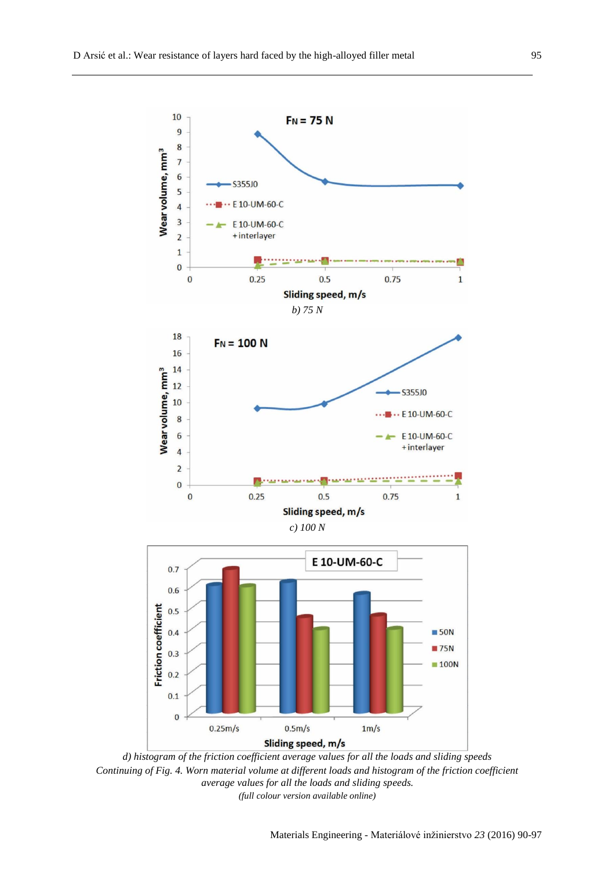

*d) histogram of the friction coefficient average values for all the loads and sliding speeds Continuing of Fig. 4. Worn material volume at different loads and histogram of the friction coefficient average values for all the loads and sliding speeds. (full colour version available online)*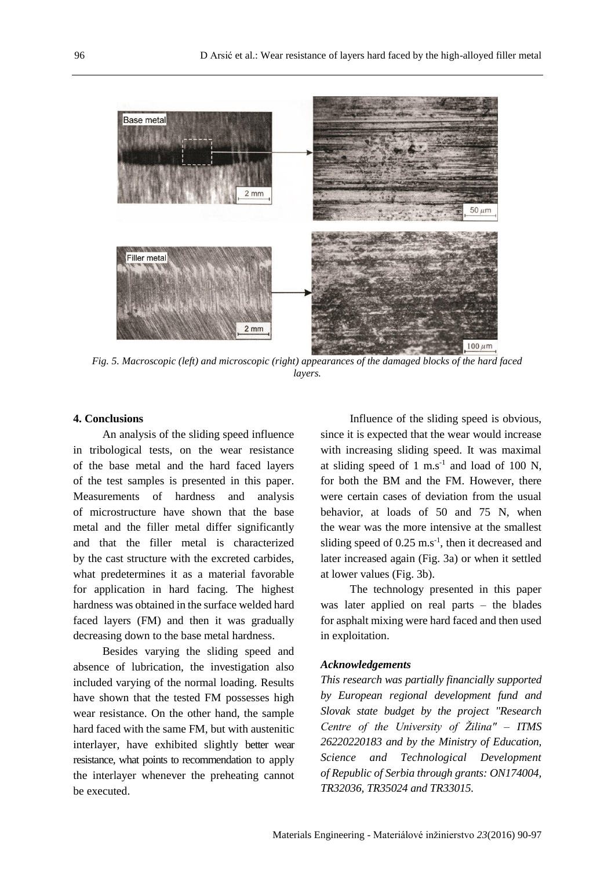

*Fig. 5. Macroscopic (left) and microscopic (right) appearances of the damaged blocks of the hard faced layers.*

# **4. Conclusions**

An analysis of the sliding speed influence in tribological tests, on the wear resistance of the base metal and the hard faced layers of the test samples is presented in this paper. Measurements of hardness and analysis of microstructure have shown that the base metal and the filler metal differ significantly and that the filler metal is characterized by the cast structure with the excreted carbides, what predetermines it as a material favorable for application in hard facing. The highest hardness was obtained in the surface welded hard faced layers (FM) and then it was gradually decreasing down to the base metal hardness.

Besides varying the sliding speed and absence of lubrication, the investigation also included varying of the normal loading. Results have shown that the tested FM possesses high wear resistance. On the other hand, the sample hard faced with the same FM, but with austenitic interlayer, have exhibited slightly better wear resistance, what points to recommendation to apply the interlayer whenever the preheating cannot be executed.

Influence of the sliding speed is obvious, since it is expected that the wear would increase with increasing sliding speed. It was maximal at sliding speed of  $1 \text{ m.s}^{-1}$  and load of 100 N, for both the BM and the FM. However, there were certain cases of deviation from the usual behavior, at loads of 50 and 75 N, when the wear was the more intensive at the smallest sliding speed of  $0.25 \text{ m.s}^{-1}$ , then it decreased and later increased again (Fig. 3a) or when it settled at lower values (Fig. 3b).

The technology presented in this paper was later applied on real parts – the blades for asphalt mixing were hard faced and then used in exploitation.

# *Acknowledgements*

*This research was partially financially supported by European regional development fund and Slovak state budget by the project "Research Centre of the University of Žilina" – ITMS 26220220183 and by the Ministry of Education, Science and Technological Development of Republic of Serbia through grants: ON174004, TR32036, TR35024 and TR33015.*